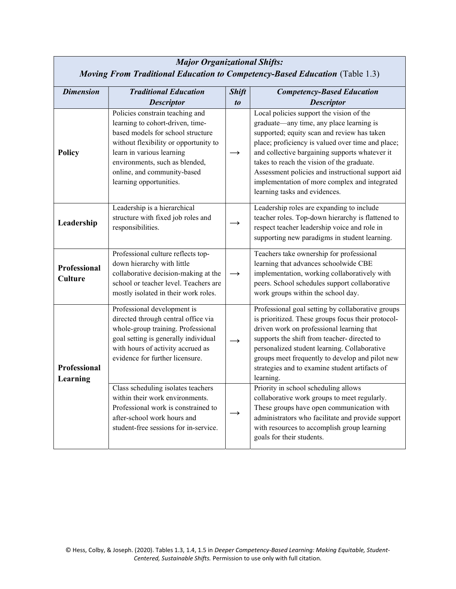| <b>Major Organizational Shifts:</b>                                                |                                                                                                                                                                                                                                                                            |                   |                                                                                                                                                                                                                                                                                                                                                                                                                                 |  |  |  |
|------------------------------------------------------------------------------------|----------------------------------------------------------------------------------------------------------------------------------------------------------------------------------------------------------------------------------------------------------------------------|-------------------|---------------------------------------------------------------------------------------------------------------------------------------------------------------------------------------------------------------------------------------------------------------------------------------------------------------------------------------------------------------------------------------------------------------------------------|--|--|--|
| <b>Moving From Traditional Education to Competency-Based Education</b> (Table 1.3) |                                                                                                                                                                                                                                                                            |                   |                                                                                                                                                                                                                                                                                                                                                                                                                                 |  |  |  |
| <b>Dimension</b>                                                                   | <b>Traditional Education</b>                                                                                                                                                                                                                                               | <b>Shift</b>      | <b>Competency-Based Education</b>                                                                                                                                                                                                                                                                                                                                                                                               |  |  |  |
|                                                                                    | <b>Descriptor</b>                                                                                                                                                                                                                                                          | $\boldsymbol{to}$ | <b>Descriptor</b>                                                                                                                                                                                                                                                                                                                                                                                                               |  |  |  |
| <b>Policy</b>                                                                      | Policies constrain teaching and<br>learning to cohort-driven, time-<br>based models for school structure<br>without flexibility or opportunity to<br>learn in various learning<br>environments, such as blended,<br>online, and community-based<br>learning opportunities. |                   | Local policies support the vision of the<br>graduate—any time, any place learning is<br>supported; equity scan and review has taken<br>place; proficiency is valued over time and place;<br>and collective bargaining supports whatever it<br>takes to reach the vision of the graduate.<br>Assessment policies and instructional support aid<br>implementation of more complex and integrated<br>learning tasks and evidences. |  |  |  |
| Leadership                                                                         | Leadership is a hierarchical<br>structure with fixed job roles and<br>responsibilities.                                                                                                                                                                                    |                   | Leadership roles are expanding to include<br>teacher roles. Top-down hierarchy is flattened to<br>respect teacher leadership voice and role in<br>supporting new paradigms in student learning.                                                                                                                                                                                                                                 |  |  |  |
| Professional<br><b>Culture</b>                                                     | Professional culture reflects top-<br>down hierarchy with little<br>collaborative decision-making at the<br>school or teacher level. Teachers are<br>mostly isolated in their work roles.                                                                                  | $\rightarrow$     | Teachers take ownership for professional<br>learning that advances schoolwide CBE<br>implementation, working collaboratively with<br>peers. School schedules support collaborative<br>work groups within the school day.                                                                                                                                                                                                        |  |  |  |
| <b>Professional</b><br>Learning                                                    | Professional development is<br>directed through central office via<br>whole-group training. Professional<br>goal setting is generally individual<br>with hours of activity accrued as<br>evidence for further licensure.                                                   |                   | Professional goal setting by collaborative groups<br>is prioritized. These groups focus their protocol-<br>driven work on professional learning that<br>supports the shift from teacher- directed to<br>personalized student learning. Collaborative<br>groups meet frequently to develop and pilot new<br>strategies and to examine student artifacts of<br>learning.                                                          |  |  |  |
|                                                                                    | Class scheduling isolates teachers<br>within their work environments.<br>Professional work is constrained to<br>after-school work hours and<br>student-free sessions for in-service.                                                                                       |                   | Priority in school scheduling allows<br>collaborative work groups to meet regularly.<br>These groups have open communication with<br>administrators who facilitate and provide support<br>with resources to accomplish group learning<br>goals for their students.                                                                                                                                                              |  |  |  |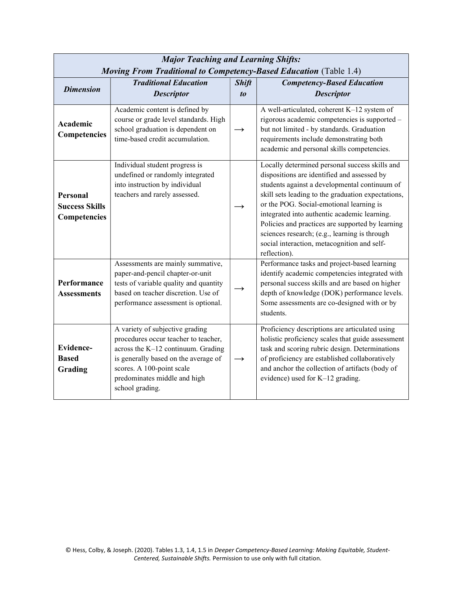| <b>Major Teaching and Learning Shifts:</b><br><b>Moving From Traditional to Competency-Based Education</b> (Table 1.4) |                                                                                                                                                                                                                                       |                                |                                                                                                                                                                                                                                                                                                                                                                                                                                                                      |  |  |
|------------------------------------------------------------------------------------------------------------------------|---------------------------------------------------------------------------------------------------------------------------------------------------------------------------------------------------------------------------------------|--------------------------------|----------------------------------------------------------------------------------------------------------------------------------------------------------------------------------------------------------------------------------------------------------------------------------------------------------------------------------------------------------------------------------------------------------------------------------------------------------------------|--|--|
| <b>Dimension</b>                                                                                                       | <b>Traditional Education</b><br><b>Descriptor</b>                                                                                                                                                                                     | <b>Shift</b><br>t <sub>0</sub> | <b>Competency-Based Education</b><br><b>Descriptor</b>                                                                                                                                                                                                                                                                                                                                                                                                               |  |  |
| Academic<br>Competencies                                                                                               | Academic content is defined by<br>course or grade level standards. High<br>school graduation is dependent on<br>time-based credit accumulation.                                                                                       | $\rightarrow$                  | A well-articulated, coherent K-12 system of<br>rigorous academic competencies is supported -<br>but not limited - by standards. Graduation<br>requirements include demonstrating both<br>academic and personal skills competencies.                                                                                                                                                                                                                                  |  |  |
| Personal<br><b>Success Skills</b><br><b>Competencies</b>                                                               | Individual student progress is<br>undefined or randomly integrated<br>into instruction by individual<br>teachers and rarely assessed.                                                                                                 |                                | Locally determined personal success skills and<br>dispositions are identified and assessed by<br>students against a developmental continuum of<br>skill sets leading to the graduation expectations,<br>or the POG. Social-emotional learning is<br>integrated into authentic academic learning.<br>Policies and practices are supported by learning<br>sciences research; (e.g., learning is through<br>social interaction, metacognition and self-<br>reflection). |  |  |
| Performance<br><b>Assessments</b>                                                                                      | Assessments are mainly summative,<br>paper-and-pencil chapter-or-unit<br>tests of variable quality and quantity<br>based on teacher discretion. Use of<br>performance assessment is optional.                                         |                                | Performance tasks and project-based learning<br>identify academic competencies integrated with<br>personal success skills and are based on higher<br>depth of knowledge (DOK) performance levels.<br>Some assessments are co-designed with or by<br>students.                                                                                                                                                                                                        |  |  |
| Evidence-<br><b>Based</b><br>Grading                                                                                   | A variety of subjective grading<br>procedures occur teacher to teacher,<br>across the K-12 continuum. Grading<br>is generally based on the average of<br>scores. A 100-point scale<br>predominates middle and high<br>school grading. | $\rightarrow$                  | Proficiency descriptions are articulated using<br>holistic proficiency scales that guide assessment<br>task and scoring rubric design. Determinations<br>of proficiency are established collaboratively<br>and anchor the collection of artifacts (body of<br>evidence) used for K-12 grading.                                                                                                                                                                       |  |  |

## Major Teaching and Learning Shifts: